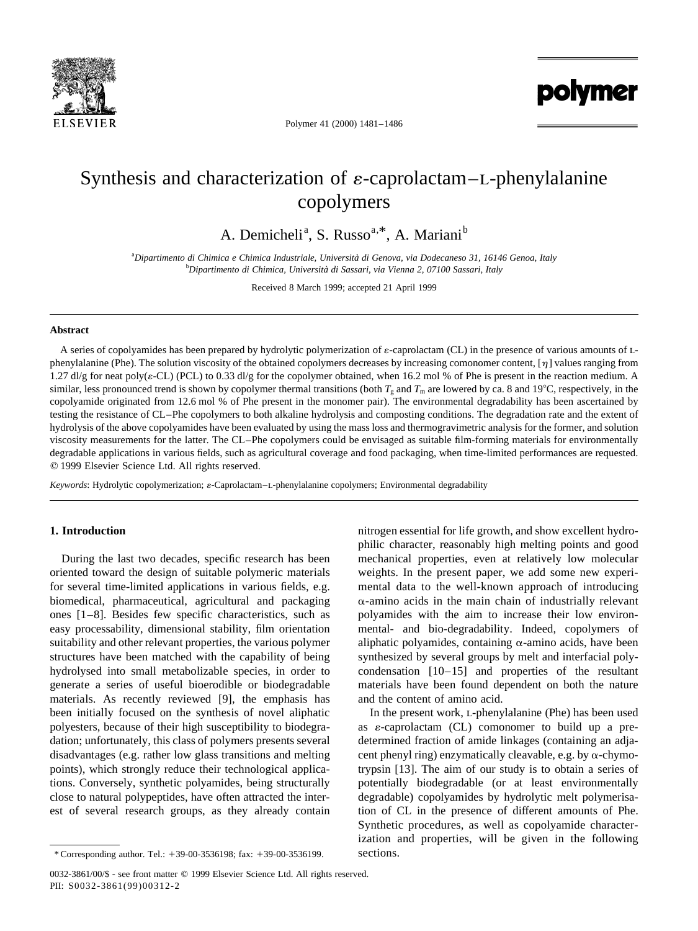

polymer

Polymer 41 (2000) 1481–1486

# Synthesis and characterization of  $\varepsilon$ -caprolactam–L-phenylalanine copolymers

A. Demicheli<sup>a</sup>, S. Russo<sup>a,\*</sup>, A. Mariani<sup>b</sup>

a *Dipartimento di Chimica e Chimica Industriale, Universita` di Genova, via Dodecaneso 31, 16146 Genoa, Italy* b *Dipartimento di Chimica, Universita` di Sassari, via Vienna 2, 07100 Sassari, Italy*

Received 8 March 1999; accepted 21 April 1999

# **Abstract**

A series of copolyamides has been prepared by hydrolytic polymerization of  $\varepsilon$ -caprolactam (CL) in the presence of various amounts of Lphenylalanine (Phe). The solution viscosity of the obtained copolymers decreases by increasing comonomer content,  $[\eta]$  values ranging from 1.27 dl/g for neat poly( $\varepsilon$ -CL) (PCL) to 0.33 dl/g for the copolymer obtained, when 16.2 mol % of Phe is present in the reaction medium. A similar, less pronounced trend is shown by copolymer thermal transitions (both  $T_g$  and  $T_m$  are lowered by ca. 8 and 19°C, respectively, in the copolyamide originated from 12.6 mol % of Phe present in the monomer pair). The environmental degradability has been ascertained by testing the resistance of CL–Phe copolymers to both alkaline hydrolysis and composting conditions. The degradation rate and the extent of hydrolysis of the above copolyamides have been evaluated by using the mass loss and thermogravimetric analysis for the former, and solution viscosity measurements for the latter. The CL–Phe copolymers could be envisaged as suitable film-forming materials for environmentally degradable applications in various fields, such as agricultural coverage and food packaging, when time-limited performances are requested.  $© 1999$  Elsevier Science Ltd. All rights reserved.

*Keywords*: Hydrolytic copolymerization;  $\varepsilon$ -Caprolactam–L-phenylalanine copolymers; Environmental degradability

# **1. Introduction**

During the last two decades, specific research has been oriented toward the design of suitable polymeric materials for several time-limited applications in various fields, e.g. biomedical, pharmaceutical, agricultural and packaging ones [1–8]. Besides few specific characteristics, such as easy processability, dimensional stability, film orientation suitability and other relevant properties, the various polymer structures have been matched with the capability of being hydrolysed into small metabolizable species, in order to generate a series of useful bioerodible or biodegradable materials. As recently reviewed [9], the emphasis has been initially focused on the synthesis of novel aliphatic polyesters, because of their high susceptibility to biodegradation; unfortunately, this class of polymers presents several disadvantages (e.g. rather low glass transitions and melting points), which strongly reduce their technological applications. Conversely, synthetic polyamides, being structurally close to natural polypeptides, have often attracted the interest of several research groups, as they already contain

\* Corresponding author. Tel.: 139-00-3536198; fax: 139-00-3536199.

nitrogen essential for life growth, and show excellent hydrophilic character, reasonably high melting points and good mechanical properties, even at relatively low molecular weights. In the present paper, we add some new experimental data to the well-known approach of introducing  $\alpha$ -amino acids in the main chain of industrially relevant polyamides with the aim to increase their low environmental- and bio-degradability. Indeed, copolymers of aliphatic polyamides, containing  $\alpha$ -amino acids, have been synthesized by several groups by melt and interfacial polycondensation [10–15] and properties of the resultant materials have been found dependent on both the nature and the content of amino acid.

In the present work, L-phenylalanine (Phe) has been used as  $\varepsilon$ -caprolactam (CL) comonomer to build up a predetermined fraction of amide linkages (containing an adjacent phenyl ring) enzymatically cleavable, e.g. by  $\alpha$ -chymotrypsin [13]. The aim of our study is to obtain a series of potentially biodegradable (or at least environmentally degradable) copolyamides by hydrolytic melt polymerisation of CL in the presence of different amounts of Phe. Synthetic procedures, as well as copolyamide characterization and properties, will be given in the following sections.

<sup>0032-3861/00/\$ -</sup> see front matter © 1999 Elsevier Science Ltd. All rights reserved. PII: S0032-3861(99)00312-2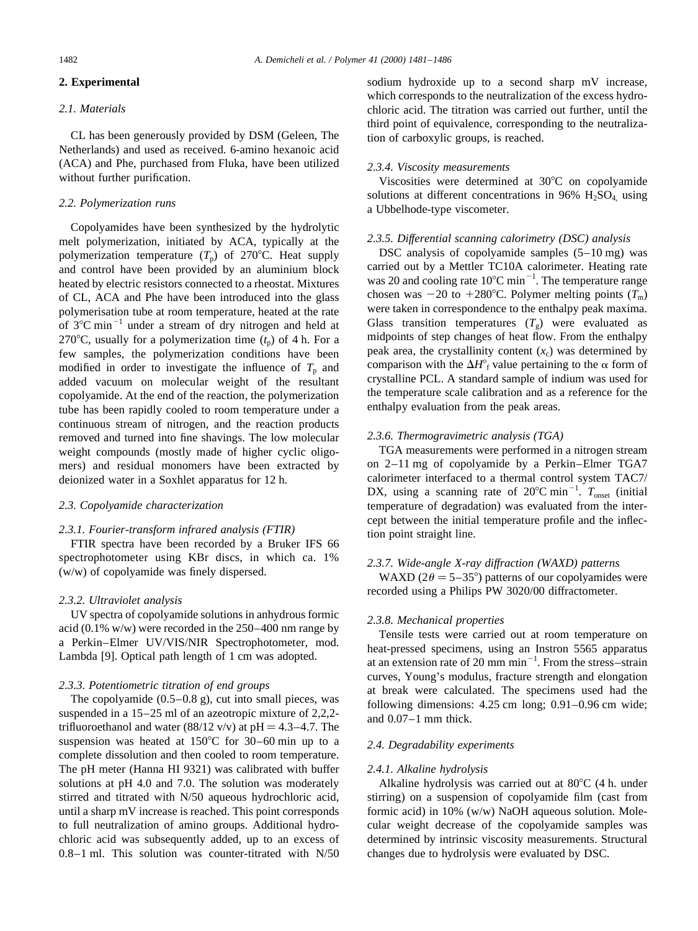#### **2. Experimental**

# *2.1. Materials*

CL has been generously provided by DSM (Geleen, The Netherlands) and used as received. 6-amino hexanoic acid (ACA) and Phe, purchased from Fluka, have been utilized without further purification.

#### *2.2. Polymerization runs*

Copolyamides have been synthesized by the hydrolytic melt polymerization, initiated by ACA, typically at the polymerization temperature  $(T_p)$  of 270°C. Heat supply and control have been provided by an aluminium block heated by electric resistors connected to a rheostat. Mixtures of CL, ACA and Phe have been introduced into the glass polymerisation tube at room temperature, heated at the rate of  $3^{\circ}$ C min<sup>-1</sup> under a stream of dry nitrogen and held at 270°C, usually for a polymerization time  $(t<sub>p</sub>)$  of 4 h. For a few samples, the polymerization conditions have been modified in order to investigate the influence of  $T_p$  and added vacuum on molecular weight of the resultant copolyamide. At the end of the reaction, the polymerization tube has been rapidly cooled to room temperature under a continuous stream of nitrogen, and the reaction products removed and turned into fine shavings. The low molecular weight compounds (mostly made of higher cyclic oligomers) and residual monomers have been extracted by deionized water in a Soxhlet apparatus for 12 h.

#### *2.3. Copolyamide characterization*

#### *2.3.1. Fourier-transform infrared analysis (FTIR)*

FTIR spectra have been recorded by a Bruker IFS 66 spectrophotometer using KBr discs, in which ca. 1% (w/w) of copolyamide was finely dispersed.

#### *2.3.2. Ultraviolet analysis*

UV spectra of copolyamide solutions in anhydrous formic acid (0.1% w/w) were recorded in the 250–400 nm range by a Perkin–Elmer UV/VIS/NIR Spectrophotometer, mod. Lambda [9]. Optical path length of 1 cm was adopted.

# *2.3.3. Potentiometric titration of end groups*

The copolyamide (0.5–0.8 g), cut into small pieces, was suspended in a 15–25 ml of an azeotropic mixture of 2,2,2 trifluoroethanol and water (88/12 v/v) at  $pH = 4.3 - 4.7$ . The suspension was heated at  $150^{\circ}$ C for 30–60 min up to a complete dissolution and then cooled to room temperature. The pH meter (Hanna HI 9321) was calibrated with buffer solutions at pH 4.0 and 7.0. The solution was moderately stirred and titrated with N/50 aqueous hydrochloric acid, until a sharp mV increase is reached. This point corresponds to full neutralization of amino groups. Additional hydrochloric acid was subsequently added, up to an excess of 0.8–1 ml. This solution was counter-titrated with N/50 sodium hydroxide up to a second sharp mV increase, which corresponds to the neutralization of the excess hydrochloric acid. The titration was carried out further, until the third point of equivalence, corresponding to the neutralization of carboxylic groups, is reached.

# *2.3.4. Viscosity measurements*

Viscosities were determined at  $30^{\circ}$ C on copolyamide solutions at different concentrations in 96%  $H<sub>2</sub>SO<sub>4</sub>$  using a Ubbelhode-type viscometer.

#### *2.3.5. Differential scanning calorimetry (DSC) analysis*

DSC analysis of copolyamide samples (5–10 mg) was carried out by a Mettler TC10A calorimeter. Heating rate was 20 and cooling rate  $10^{\circ}$ C min<sup>-1</sup>. The temperature range chosen was  $-20$  to  $+280^{\circ}$ C. Polymer melting points ( $T_{\text{m}}$ ) were taken in correspondence to the enthalpy peak maxima. Glass transition temperatures  $(T_g)$  were evaluated as midpoints of step changes of heat flow. From the enthalpy peak area, the crystallinity content  $(x_c)$  was determined by comparison with the  $\Delta H^{\circ}$ <sub>f</sub> value pertaining to the  $\alpha$  form of crystalline PCL. A standard sample of indium was used for the temperature scale calibration and as a reference for the enthalpy evaluation from the peak areas.

#### *2.3.6. Thermogravimetric analysis (TGA)*

TGA measurements were performed in a nitrogen stream on 2–11 mg of copolyamide by a Perkin–Elmer TGA7 calorimeter interfaced to a thermal control system TAC7/ DX, using a scanning rate of  $20^{\circ}$ C min<sup>-1</sup>.  $T_{\text{onset}}$  (initial temperature of degradation) was evaluated from the intercept between the initial temperature profile and the inflection point straight line.

#### *2.3.7. Wide-angle X-ray diffraction (WAXD) patterns*

WAXD ( $2\theta = 5-35^{\circ}$ ) patterns of our copolyamides were recorded using a Philips PW 3020/00 diffractometer.

## *2.3.8. Mechanical properties*

Tensile tests were carried out at room temperature on heat-pressed specimens, using an Instron 5565 apparatus at an extension rate of 20 mm min<sup> $-1$ </sup>. From the stress–strain curves, Young's modulus, fracture strength and elongation at break were calculated. The specimens used had the following dimensions: 4.25 cm long; 0.91–0.96 cm wide; and 0.07–1 mm thick.

#### *2.4. Degradability experiments*

#### *2.4.1. Alkaline hydrolysis*

Alkaline hydrolysis was carried out at  $80^{\circ}$ C (4 h. under stirring) on a suspension of copolyamide film (cast from formic acid) in 10% (w/w) NaOH aqueous solution. Molecular weight decrease of the copolyamide samples was determined by intrinsic viscosity measurements. Structural changes due to hydrolysis were evaluated by DSC.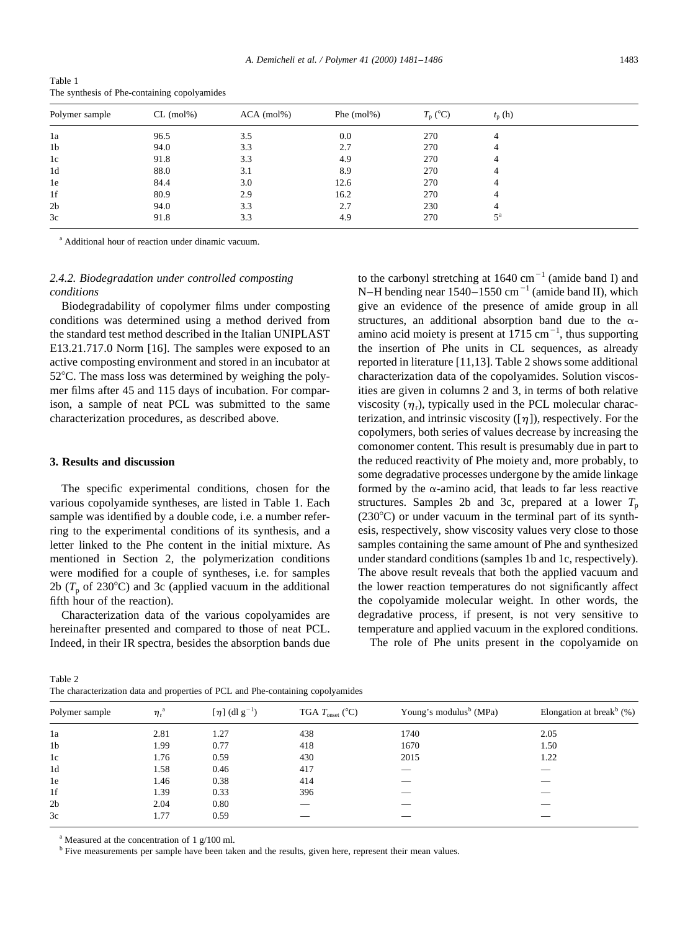|                | .         |              |               |                  |                         |  |  |
|----------------|-----------|--------------|---------------|------------------|-------------------------|--|--|
| Polymer sample | CL (mol%) | $ACA$ (mol%) | Phe $(mol\%)$ | $T_{\rm p}$ (°C) | $t_{p}$ (h)             |  |  |
| 1a             | 96.5      | 3.5          | 0.0           | 270              | 4                       |  |  |
| 1b             | 94.0      | 3.3          | 2.7           | 270              | 4                       |  |  |
| 1c             | 91.8      | 3.3          | 4.9           | 270              | 4                       |  |  |
| 1d             | 88.0      | 3.1          | 8.9           | 270              | 4                       |  |  |
| 1e             | 84.4      | 3.0          | 12.6          | 270              | 4                       |  |  |
| 1f             | 80.9      | 2.9          | 16.2          | 270              | 4                       |  |  |
| 2b             | 94.0      | 3.3          | 2.7           | 230              | 4                       |  |  |
| 3c             | 91.8      | 3.3          | 4.9           | 270              | $\epsilon$ <sup>a</sup> |  |  |
|                |           |              |               |                  |                         |  |  |

Table 1 The synthesis of Phe-containing copolyamides

<sup>a</sup> Additional hour of reaction under dinamic vacuum.

# *2.4.2. Biodegradation under controlled composting conditions*

Biodegradability of copolymer films under composting conditions was determined using a method derived from the standard test method described in the Italian UNIPLAST E13.21.717.0 Norm [16]. The samples were exposed to an active composting environment and stored in an incubator at  $52^{\circ}$ C. The mass loss was determined by weighing the polymer films after 45 and 115 days of incubation. For comparison, a sample of neat PCL was submitted to the same characterization procedures, as described above.

## **3. Results and discussion**

The specific experimental conditions, chosen for the various copolyamide syntheses, are listed in Table 1. Each sample was identified by a double code, i.e. a number referring to the experimental conditions of its synthesis, and a letter linked to the Phe content in the initial mixture. As mentioned in Section 2, the polymerization conditions were modified for a couple of syntheses, i.e. for samples 2b ( $T_p$  of 230°C) and 3c (applied vacuum in the additional fifth hour of the reaction).

Characterization data of the various copolyamides are hereinafter presented and compared to those of neat PCL. Indeed, in their IR spectra, besides the absorption bands due

to the carbonyl stretching at  $1640 \text{ cm}^{-1}$  (amide band I) and N–H bending near  $1540-1550$  cm<sup>-1</sup> (amide band II), which give an evidence of the presence of amide group in all structures, an additional absorption band due to the  $\alpha$ amino acid moiety is present at  $1715 \text{ cm}^{-1}$ , thus supporting the insertion of Phe units in CL sequences, as already reported in literature [11,13]. Table 2 shows some additional characterization data of the copolyamides. Solution viscosities are given in columns 2 and 3, in terms of both relative viscosity  $(\eta_r)$ , typically used in the PCL molecular characterization, and intrinsic viscosity  $(\lceil \eta \rceil)$ , respectively. For the copolymers, both series of values decrease by increasing the comonomer content. This result is presumably due in part to the reduced reactivity of Phe moiety and, more probably, to some degradative processes undergone by the amide linkage formed by the  $\alpha$ -amino acid, that leads to far less reactive structures. Samples 2b and 3c, prepared at a lower  $T_p$  $(230^{\circ}$ C) or under vacuum in the terminal part of its synthesis, respectively, show viscosity values very close to those samples containing the same amount of Phe and synthesized under standard conditions (samples 1b and 1c, respectively). The above result reveals that both the applied vacuum and the lower reaction temperatures do not significantly affect the copolyamide molecular weight. In other words, the degradative process, if present, is not very sensitive to temperature and applied vacuum in the explored conditions.

The role of Phe units present in the copolyamide on

Table 2

The characterization data and properties of PCL and Phe-containing copolyamides

| Polymer sample | $\eta_{\rm r}$ | [ $\eta$ ] (dl g <sup>-1</sup> ) | TGA $T_{\text{onset}}$ (°C) | Young's modulus <sup>b</sup> (MPa) | Elongation at break <sup>b</sup> $(\%)$ |  |  |
|----------------|----------------|----------------------------------|-----------------------------|------------------------------------|-----------------------------------------|--|--|
| 1a             | 2.81           | 1.27                             | 438                         | 1740                               | 2.05                                    |  |  |
| 1 <sub>b</sub> | 1.99           | 0.77                             | 418                         | 1670                               | 1.50                                    |  |  |
| 1c             | 1.76           | 0.59                             | 430                         | 2015                               | 1.22                                    |  |  |
| 1 <sub>d</sub> | 1.58           | 0.46                             | 417                         |                                    |                                         |  |  |
| 1e             | 1.46           | 0.38                             | 414                         |                                    |                                         |  |  |
| 1f             | 1.39           | 0.33                             | 396                         |                                    |                                         |  |  |
| 2 <sub>b</sub> | 2.04           | 0.80                             |                             |                                    |                                         |  |  |
| 3c             | 1.77           | 0.59                             |                             |                                    |                                         |  |  |
|                |                |                                  |                             |                                    |                                         |  |  |

 $a<sup>a</sup>$  Measured at the concentration of 1 g/100 ml.

<sup>b</sup> Five measurements per sample have been taken and the results, given here, represent their mean values.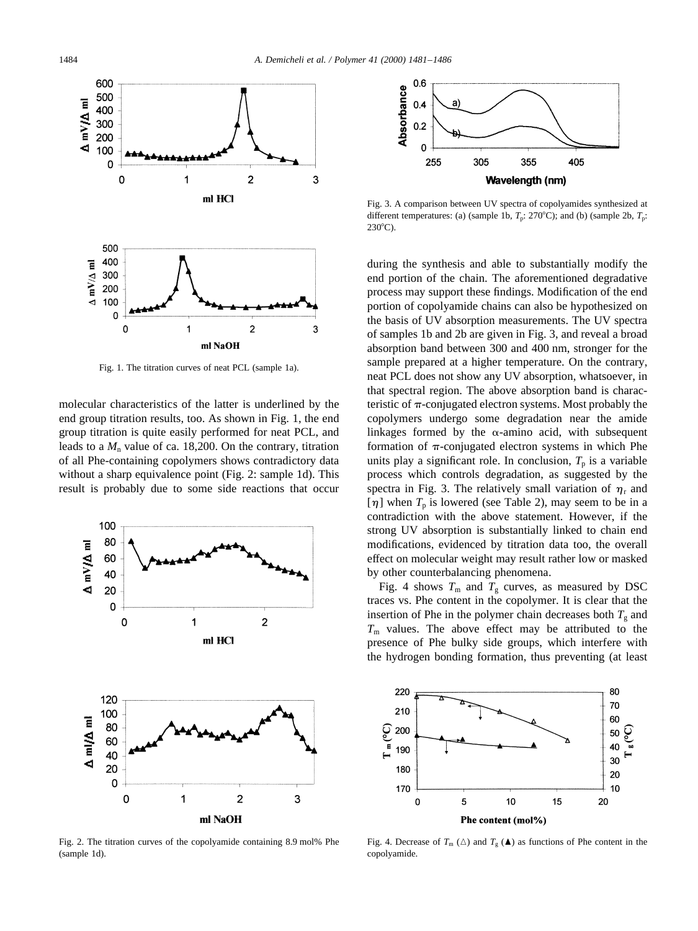

Fig. 1. The titration curves of neat PCL (sample 1a).

molecular characteristics of the latter is underlined by the end group titration results, too. As shown in Fig. 1, the end group titration is quite easily performed for neat PCL, and leads to a  $M_n$  value of ca. 18,200. On the contrary, titration of all Phe-containing copolymers shows contradictory data without a sharp equivalence point (Fig. 2: sample 1d). This result is probably due to some side reactions that occur



Fig. 2. The titration curves of the copolyamide containing 8.9 mol% Phe (sample 1d).



Fig. 3. A comparison between UV spectra of copolyamides synthesized at different temperatures: (a) (sample 1b,  $T_p$ : 270°C); and (b) (sample 2b,  $T_p$ :  $230^{\circ}$ C).

during the synthesis and able to substantially modify the end portion of the chain. The aforementioned degradative process may support these findings. Modification of the end portion of copolyamide chains can also be hypothesized on the basis of UV absorption measurements. The UV spectra of samples 1b and 2b are given in Fig. 3, and reveal a broad absorption band between 300 and 400 nm, stronger for the sample prepared at a higher temperature. On the contrary, neat PCL does not show any UV absorption, whatsoever, in that spectral region. The above absorption band is characteristic of  $\pi$ -conjugated electron systems. Most probably the copolymers undergo some degradation near the amide linkages formed by the  $\alpha$ -amino acid, with subsequent formation of  $\pi$ -conjugated electron systems in which Phe units play a significant role. In conclusion,  $T_p$  is a variable process which controls degradation, as suggested by the spectra in Fig. 3. The relatively small variation of  $\eta_r$  and  $[\eta]$  when  $T_p$  is lowered (see Table 2), may seem to be in a contradiction with the above statement. However, if the strong UV absorption is substantially linked to chain end modifications, evidenced by titration data too, the overall effect on molecular weight may result rather low or masked by other counterbalancing phenomena.

Fig. 4 shows  $T_m$  and  $T_g$  curves, as measured by DSC traces vs. Phe content in the copolymer. It is clear that the insertion of Phe in the polymer chain decreases both  $T_g$  and  $T<sub>m</sub>$  values. The above effect may be attributed to the presence of Phe bulky side groups, which interfere with the hydrogen bonding formation, thus preventing (at least



Fig. 4. Decrease of  $T_m(\Delta)$  and  $T_g(\Delta)$  as functions of Phe content in the copolyamide.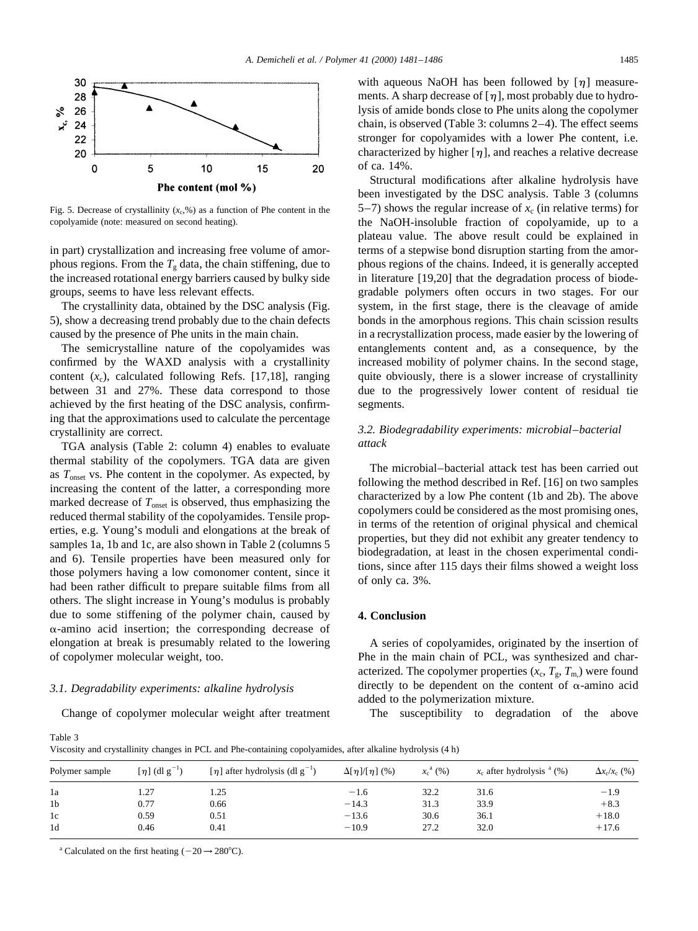

Fig. 5. Decrease of crystallinity  $(x_c, \mathcal{X})$  as a function of Phe content in the copolyamide (note: measured on second heating).

in part) crystallization and increasing free volume of amorphous regions. From the  $T_g$  data, the chain stiffening, due to the increased rotational energy barriers caused by bulky side groups, seems to have less relevant effects.

The crystallinity data, obtained by the DSC analysis (Fig. 5), show a decreasing trend probably due to the chain defects caused by the presence of Phe units in the main chain.

The semicrystalline nature of the copolyamides was confirmed by the WAXD analysis with a crystallinity content  $(x_c)$ , calculated following Refs. [17,18], ranging between 31 and 27%. These data correspond to those achieved by the first heating of the DSC analysis, confirming that the approximations used to calculate the percentage crystallinity are correct.

TGA analysis (Table 2: column 4) enables to evaluate thermal stability of the copolymers. TGA data are given as  $T_{\text{onset}}$  vs. Phe content in the copolymer. As expected, by increasing the content of the latter, a corresponding more marked decrease of  $T_{\text{onset}}$  is observed, thus emphasizing the reduced thermal stability of the copolyamides. Tensile properties, e.g. Young's moduli and elongations at the break of samples 1a, 1b and 1c, are also shown in Table 2 (columns 5) and 6). Tensile properties have been measured only for those polymers having a low comonomer content, since it had been rather difficult to prepare suitable films from all others. The slight increase in Young's modulus is probably due to some stiffening of the polymer chain, caused by  $\alpha$ -amino acid insertion; the corresponding decrease of elongation at break is presumably related to the lowering of copolymer molecular weight, too.

#### *3.1. Degradability experiments: alkaline hydrolysis*

Change of copolymer molecular weight after treatment

with aqueous NaOH has been followed by  $\lceil \eta \rceil$  measurements. A sharp decrease of  $[\eta]$ , most probably due to hydrolysis of amide bonds close to Phe units along the copolymer chain, is observed (Table 3: columns 2–4). The effect seems stronger for copolyamides with a lower Phe content, i.e. characterized by higher  $[\eta]$ , and reaches a relative decrease of ca. 14%.

Structural modifications after alkaline hydrolysis have been investigated by the DSC analysis. Table 3 (columns 5–7) shows the regular increase of  $x_c$  (in relative terms) for the NaOH-insoluble fraction of copolyamide, up to a plateau value. The above result could be explained in terms of a stepwise bond disruption starting from the amorphous regions of the chains. Indeed, it is generally accepted in literature [19,20] that the degradation process of biodegradable polymers often occurs in two stages. For our system, in the first stage, there is the cleavage of amide bonds in the amorphous regions. This chain scission results in a recrystallization process, made easier by the lowering of entanglements content and, as a consequence, by the increased mobility of polymer chains. In the second stage, quite obviously, there is a slower increase of crystallinity due to the progressively lower content of residual tie segments.

# *3.2. Biodegradability experiments: microbial–bacterial attack*

The microbial–bacterial attack test has been carried out following the method described in Ref. [16] on two samples characterized by a low Phe content (1b and 2b). The above copolymers could be considered as the most promising ones, in terms of the retention of original physical and chemical properties, but they did not exhibit any greater tendency to biodegradation, at least in the chosen experimental conditions, since after 115 days their films showed a weight loss of only ca. 3%.

# **4. Conclusion**

A series of copolyamides, originated by the insertion of Phe in the main chain of PCL, was synthesized and characterized. The copolymer properties  $(x_c, T_g, T_m)$  were found directly to be dependent on the content of  $\alpha$ -amino acid added to the polymerization mixture.

The susceptibility to degradation of the above

Table 3

Viscosity and crystallinity changes in PCL and Phe-containing copolyamides, after alkaline hydrolysis (4 h)

| Polymer sample | $\lceil \eta \rceil$ (dl g <sup>-1</sup> ) | [ $\eta$ ] after hydrolysis (dl g <sup>-1</sup> ) | $\Delta[\eta]/[\eta](\%)$ | $x_c^a(%)$ | $x_c$ after hydrolysis $(%)$ | $\Delta x_c/x_c$ (%) |  |
|----------------|--------------------------------------------|---------------------------------------------------|---------------------------|------------|------------------------------|----------------------|--|
| 1a             | l.27                                       | 1.25                                              | $-1.6$                    | 32.2       | 31.6                         | $-1.9$               |  |
| 1 <sub>b</sub> | 0.77                                       | 0.66                                              | $-14.3$                   | 31.3       | 33.9                         | $+8.3$               |  |
| 1c             | 0.59                                       | 0.51                                              | $-13.6$                   | 30.6       | 36.1                         | $+18.0$              |  |
| 1 <sub>d</sub> | 0.46                                       | 0.41                                              | $-10.9$                   | 27.2       | 32.0                         | $+17.6$              |  |

<sup>a</sup> Calculated on the first heating  $(-20 \rightarrow 280^{\circ}C)$ .